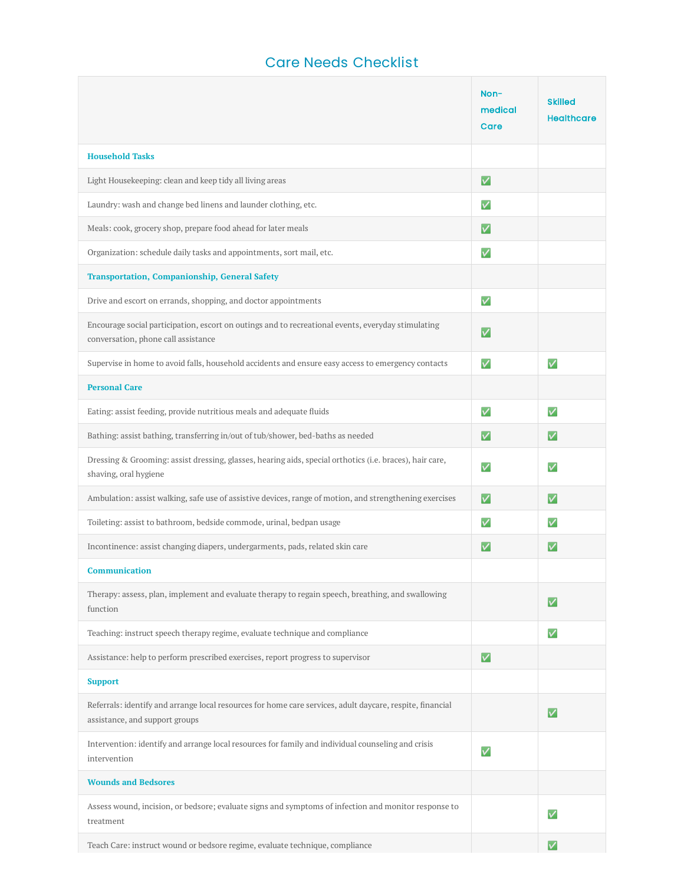## Care Needs Checklist

**The Company** 

|                                                                                                                                             | Non-<br>medical<br>Care   | <b>Skilled</b><br><b>Healthcare</b> |
|---------------------------------------------------------------------------------------------------------------------------------------------|---------------------------|-------------------------------------|
| <b>Household Tasks</b>                                                                                                                      |                           |                                     |
| Light Housekeeping: clean and keep tidy all living areas                                                                                    | $\blacktriangledown$      |                                     |
| Laundry: wash and change bed linens and launder clothing, etc.                                                                              | $\mathbf v$               |                                     |
| Meals: cook, grocery shop, prepare food ahead for later meals                                                                               | $\blacktriangledown$      |                                     |
| Organization: schedule daily tasks and appointments, sort mail, etc.                                                                        | $\boldsymbol{\mathsf{v}}$ |                                     |
| <b>Transportation, Companionship, General Safety</b>                                                                                        |                           |                                     |
| Drive and escort on errands, shopping, and doctor appointments                                                                              | $\overline{\mathsf{v}}$   |                                     |
| Encourage social participation, escort on outings and to recreational events, everyday stimulating<br>conversation, phone call assistance   | $\bm{\mathsf{v}}$         |                                     |
| Supervise in home to avoid falls, household accidents and ensure easy access to emergency contacts                                          | $\mathbf v$               | $\checkmark$                        |
| <b>Personal Care</b>                                                                                                                        |                           |                                     |
| Eating: assist feeding, provide nutritious meals and adequate fluids                                                                        | $\mathbf v$               | $\mathbf v$                         |
| Bathing: assist bathing, transferring in/out of tub/shower, bed-baths as needed                                                             | $\vert\mathcal{V}\vert$   | $\vert\mathcal{V}\vert$             |
| Dressing & Grooming: assist dressing, glasses, hearing aids, special orthotics (i.e. braces), hair care,<br>shaving, oral hygiene           | $\boldsymbol{\mathsf{v}}$ | $\mathbf v$                         |
| Ambulation: assist walking, safe use of assistive devices, range of motion, and strengthening exercises                                     | $\blacktriangledown$      | $\vert\mathbf{v}\vert$              |
| Toileting: assist to bathroom, bedside commode, urinal, bedpan usage                                                                        | $\boldsymbol{\mathsf{v}}$ | $\boldsymbol{\mathsf{v}}$           |
| Incontinence: assist changing diapers, undergarments, pads, related skin care                                                               | $\bm{\mathsf{v}}$         | V                                   |
| <b>Communication</b>                                                                                                                        |                           |                                     |
| Therapy: assess, plan, implement and evaluate therapy to regain speech, breathing, and swallowing<br>function                               |                           | V                                   |
| Teaching: instruct speech therapy regime, evaluate technique and compliance                                                                 |                           | $\checkmark$                        |
| Assistance: help to perform prescribed exercises, report progress to supervisor                                                             | $\vert\mathsf{v}\vert$    |                                     |
| <b>Support</b>                                                                                                                              |                           |                                     |
| Referrals: identify and arrange local resources for home care services, adult daycare, respite, financial<br>assistance, and support groups |                           | $\overline{\mathsf{v}}$             |
| Intervention: identify and arrange local resources for family and individual counseling and crisis<br>intervention                          | $\overline{\mathsf{v}}$   |                                     |
| <b>Wounds and Bedsores</b>                                                                                                                  |                           |                                     |
| Assess wound, incision, or bedsore; evaluate signs and symptoms of infection and monitor response to<br>treatment                           |                           | $\boldsymbol{\mathsf{v}}$           |
| Teach Care: instruct wound or bedsore regime, evaluate technique, compliance                                                                |                           | M                                   |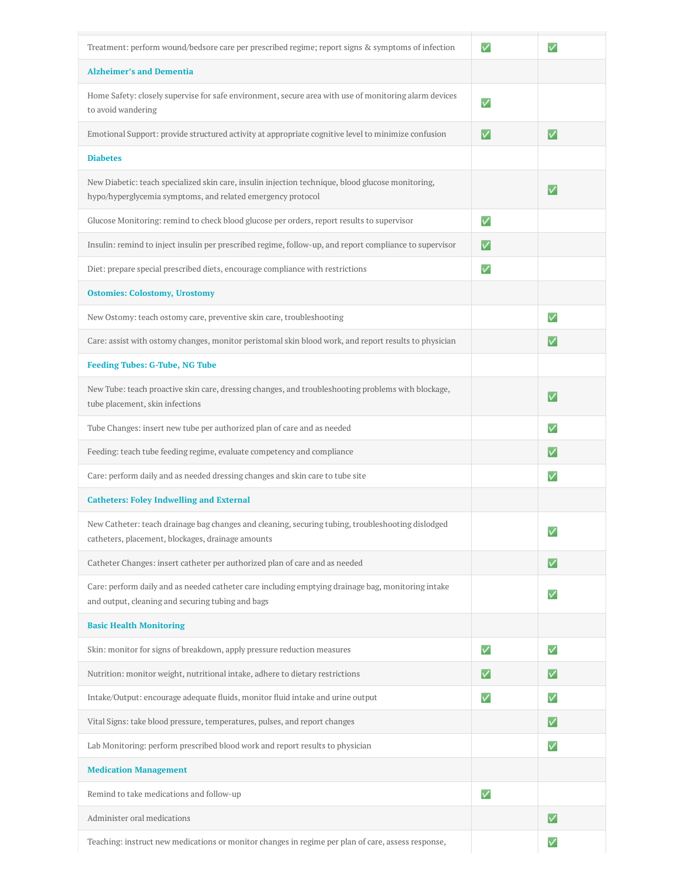| Treatment: perform wound/bedsore care per prescribed regime; report signs & symptoms of infection                                                                | $\overline{\mathsf{v}}$     | V                           |
|------------------------------------------------------------------------------------------------------------------------------------------------------------------|-----------------------------|-----------------------------|
| <b>Alzheimer's and Dementia</b>                                                                                                                                  |                             |                             |
| Home Safety: closely supervise for safe environment, secure area with use of monitoring alarm devices<br>to avoid wandering                                      | $\overline{\mathsf{v}}$     |                             |
| Emotional Support: provide structured activity at appropriate cognitive level to minimize confusion                                                              | $\vert\bm{\mathsf{v}}\vert$ | $\blacktriangledown$        |
| <b>Diabetes</b>                                                                                                                                                  |                             |                             |
| New Diabetic: teach specialized skin care, insulin injection technique, blood glucose monitoring,<br>hypo/hyperglycemia symptoms, and related emergency protocol |                             | $\overline{\mathsf{v}}$     |
| Glucose Monitoring: remind to check blood glucose per orders, report results to supervisor                                                                       | $\overline{\mathsf{v}}$     |                             |
| Insulin: remind to inject insulin per prescribed regime, follow-up, and report compliance to supervisor                                                          | V                           |                             |
| Diet: prepare special prescribed diets, encourage compliance with restrictions                                                                                   | $\overline{\mathsf{v}}$     |                             |
| <b>Ostomies: Colostomy, Urostomy</b>                                                                                                                             |                             |                             |
| New Ostomy: teach ostomy care, preventive skin care, troubleshooting                                                                                             |                             | $\overline{\mathsf{v}}$     |
| Care: assist with ostomy changes, monitor peristomal skin blood work, and report results to physician                                                            |                             | $\overline{\mathsf{v}}$     |
| <b>Feeding Tubes: G-Tube, NG Tube</b>                                                                                                                            |                             |                             |
| New Tube: teach proactive skin care, dressing changes, and troubleshooting problems with blockage,<br>tube placement, skin infections                            |                             | $\overline{\mathsf{v}}$     |
| Tube Changes: insert new tube per authorized plan of care and as needed                                                                                          |                             | $\boldsymbol{\mathsf{v}}$   |
| Feeding: teach tube feeding regime, evaluate competency and compliance                                                                                           |                             | $\vert\mathcal{V}\vert$     |
| Care: perform daily and as needed dressing changes and skin care to tube site                                                                                    |                             | $\overline{\mathsf{v}}$     |
| <b>Catheters: Foley Indwelling and External</b>                                                                                                                  |                             |                             |
| New Catheter: teach drainage bag changes and cleaning, securing tubing, troubleshooting dislodged<br>catheters, placement, blockages, drainage amounts           |                             | V                           |
| Catheter Changes: insert catheter per authorized plan of care and as needed                                                                                      |                             | $\vert\bm{\mathsf{v}}\vert$ |
| Care: perform daily and as needed catheter care including emptying drainage bag, monitoring intake<br>and output, cleaning and securing tubing and bags          |                             | $\overline{\mathsf{v}}$     |
| <b>Basic Health Monitoring</b>                                                                                                                                   |                             |                             |
| Skin: monitor for signs of breakdown, apply pressure reduction measures                                                                                          | $\overline{\mathsf{v}}$     | $\overline{\mathsf{v}}$     |
| Nutrition: monitor weight, nutritional intake, adhere to dietary restrictions                                                                                    | $\vert\mathsf{v}\vert$      | V                           |
| Intake/Output: encourage adequate fluids, monitor fluid intake and urine output                                                                                  | $\overline{\mathsf{v}}$     | $\boldsymbol{\mathsf{v}}$   |
| Vital Signs: take blood pressure, temperatures, pulses, and report changes                                                                                       |                             | $\vert\mathcal{V}\vert$     |
| Lab Monitoring: perform prescribed blood work and report results to physician                                                                                    |                             | $\overline{\mathsf{v}}$     |
| <b>Medication Management</b>                                                                                                                                     |                             |                             |
| Remind to take medications and follow-up                                                                                                                         | $\overline{\mathsf{v}}$     |                             |
| Administer oral medications                                                                                                                                      |                             | $\vert\bm{\vee}\vert$       |
| Teaching: instruct new medications or monitor changes in regime per plan of care, assess response,                                                               |                             | $\overline{\mathsf{v}}$     |